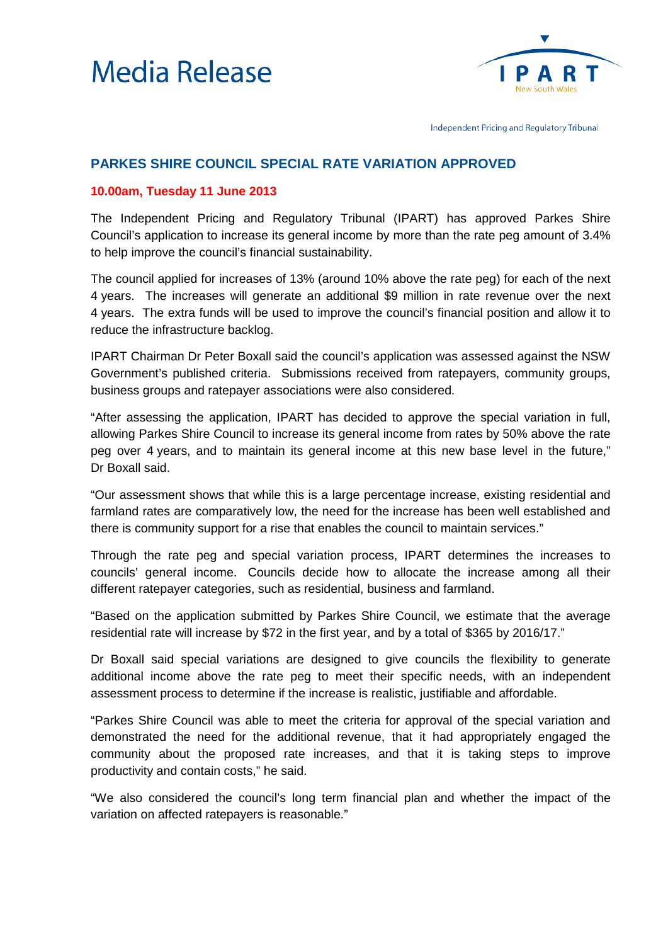



Independent Pricing and Regulatory Tribunal

## **PARKES SHIRE COUNCIL SPECIAL RATE VARIATION APPROVED**

## **10.00am, Tuesday 11 June 2013**

The Independent Pricing and Regulatory Tribunal (IPART) has approved Parkes Shire Council's application to increase its general income by more than the rate peg amount of 3.4% to help improve the council's financial sustainability.

The council applied for increases of 13% (around 10% above the rate peg) for each of the next 4 years. The increases will generate an additional \$9 million in rate revenue over the next 4 years. The extra funds will be used to improve the council's financial position and allow it to reduce the infrastructure backlog.

IPART Chairman Dr Peter Boxall said the council's application was assessed against the NSW Government's published criteria. Submissions received from ratepayers, community groups, business groups and ratepayer associations were also considered.

"After assessing the application, IPART has decided to approve the special variation in full, allowing Parkes Shire Council to increase its general income from rates by 50% above the rate peg over 4 years, and to maintain its general income at this new base level in the future," Dr Boxall said.

"Our assessment shows that while this is a large percentage increase, existing residential and farmland rates are comparatively low, the need for the increase has been well established and there is community support for a rise that enables the council to maintain services."

Through the rate peg and special variation process, IPART determines the increases to councils' general income. Councils decide how to allocate the increase among all their different ratepayer categories, such as residential, business and farmland.

"Based on the application submitted by Parkes Shire Council, we estimate that the average residential rate will increase by \$72 in the first year, and by a total of \$365 by 2016/17."

Dr Boxall said special variations are designed to give councils the flexibility to generate additional income above the rate peg to meet their specific needs, with an independent assessment process to determine if the increase is realistic, justifiable and affordable.

"Parkes Shire Council was able to meet the criteria for approval of the special variation and demonstrated the need for the additional revenue, that it had appropriately engaged the community about the proposed rate increases, and that it is taking steps to improve productivity and contain costs," he said.

"We also considered the council's long term financial plan and whether the impact of the variation on affected ratepayers is reasonable."